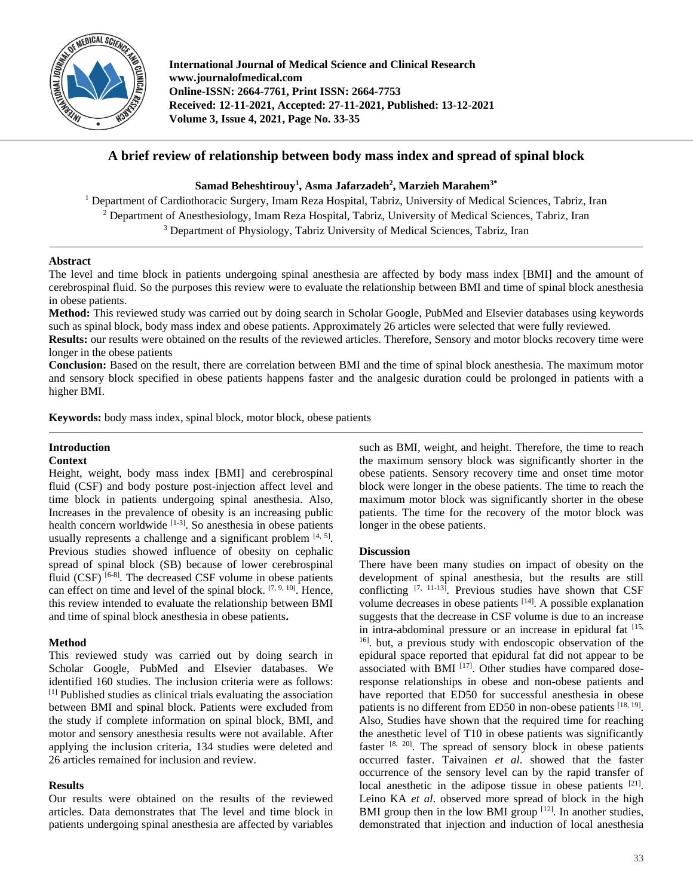

**International Journal of Medical Science and Clinical Research www.journalofmedical.com Online-ISSN: 2664-7761, Print ISSN: 2664-7753 Received: 12-11-2021, Accepted: 27-11-2021, Published: 13-12-2021 Volume 3, Issue 4, 2021, Page No. 33-35**

# **A brief review of relationship between body mass index and spread of spinal block**

**Samad Beheshtirouy<sup>1</sup> , Asma Jafarzadeh<sup>2</sup> , Marzieh Marahem3\***

<sup>1</sup> Department of Cardiothoracic Surgery, Imam Reza Hospital, Tabriz, University of Medical Sciences, Tabriz, Iran <sup>2</sup> Department of Anesthesiology, Imam Reza Hospital, Tabriz, University of Medical Sciences, Tabriz, Iran <sup>3</sup> Department of Physiology, Tabriz University of Medical Sciences, Tabriz, Iran

#### **Abstract**

The level and time block in patients undergoing spinal anesthesia are affected by body mass index [BMI] and the amount of cerebrospinal fluid. So the purposes this review were to evaluate the relationship between BMI and time of spinal block anesthesia in obese patients.

**Method:** This reviewed study was carried out by doing search in Scholar Google, PubMed and Elsevier databases using keywords such as spinal block, body mass index and obese patients. Approximately 26 articles were selected that were fully reviewed.

**Results:** our results were obtained on the results of the reviewed articles. Therefore, Sensory and motor blocks recovery time were longer in the obese patients

**Conclusion:** Based on the result, there are correlation between BMI and the time of spinal block anesthesia. The maximum motor and sensory block specified in obese patients happens faster and the analgesic duration could be prolonged in patients with a higher BMI.

**Keywords:** body mass index, spinal block, motor block, obese patients

# **Introduction**

## **Context**

Height, weight, body mass index [BMI] and cerebrospinal fluid (CSF) and body posture post-injection affect level and time block in patients undergoing spinal anesthesia. Also, Increases in the prevalence of obesity is an increasing public health concern worldwide [1-3]. So anesthesia in obese patients usually represents a challenge and a significant problem  $[4, 5]$ . Previous studies showed influence of obesity on cephalic spread of spinal block (SB) because of lower cerebrospinal fluid (CSF)<sup>[6-8]</sup>. The decreased CSF volume in obese patients can effect on time and level of the spinal block.  $[7, 9, 10]$ . Hence, this review intended to evaluate the relationship between BMI and time of spinal block anesthesia in obese patients**.**

#### **Method**

This reviewed study was carried out by doing search in Scholar Google, PubMed and Elsevier databases. We identified 160 studies. The inclusion criteria were as follows: [1] Published studies as clinical trials evaluating the association between BMI and spinal block. Patients were excluded from the study if complete information on spinal block, BMI, and motor and sensory anesthesia results were not available. After applying the inclusion criteria, 134 studies were deleted and 26 articles remained for inclusion and review.

#### **Results**

Our results were obtained on the results of the reviewed articles. Data demonstrates that The level and time block in patients undergoing spinal anesthesia are affected by variables such as BMI, weight, and height. Therefore, the time to reach the maximum sensory block was significantly shorter in the obese patients. Sensory recovery time and onset time motor block were longer in the obese patients. The time to reach the maximum motor block was significantly shorter in the obese patients. The time for the recovery of the motor block was longer in the obese patients.

#### **Discussion**

There have been many studies on impact of obesity on the development of spinal anesthesia, but the results are still conflicting  $[7, 11-13]$ . Previous studies have shown that CSF volume decreases in obese patients <sup>[14]</sup>. A possible explanation suggests that the decrease in CSF volume is due to an increase in intra-abdominal pressure or an increase in epidural fat [15, 16] . but, a previous study with endoscopic observation of the epidural space reported that epidural fat did not appear to be associated with BMI  $[17]$ . Other studies have compared doseresponse relationships in obese and non-obese patients and have reported that ED50 for successful anesthesia in obese patients is no different from ED50 in non-obese patients  $[18, 19]$ . Also, Studies have shown that the required time for reaching the anesthetic level of T10 in obese patients was significantly faster  $[8, 20]$ . The spread of sensory block in obese patients occurred faster. Taivainen *et al*. showed that the faster occurrence of the sensory level can by the rapid transfer of local anesthetic in the adipose tissue in obese patients [21]. Leino KA *et al*. observed more spread of block in the high BMI group then in the low BMI group  $[12]$ . In another studies, demonstrated that injection and induction of local anesthesia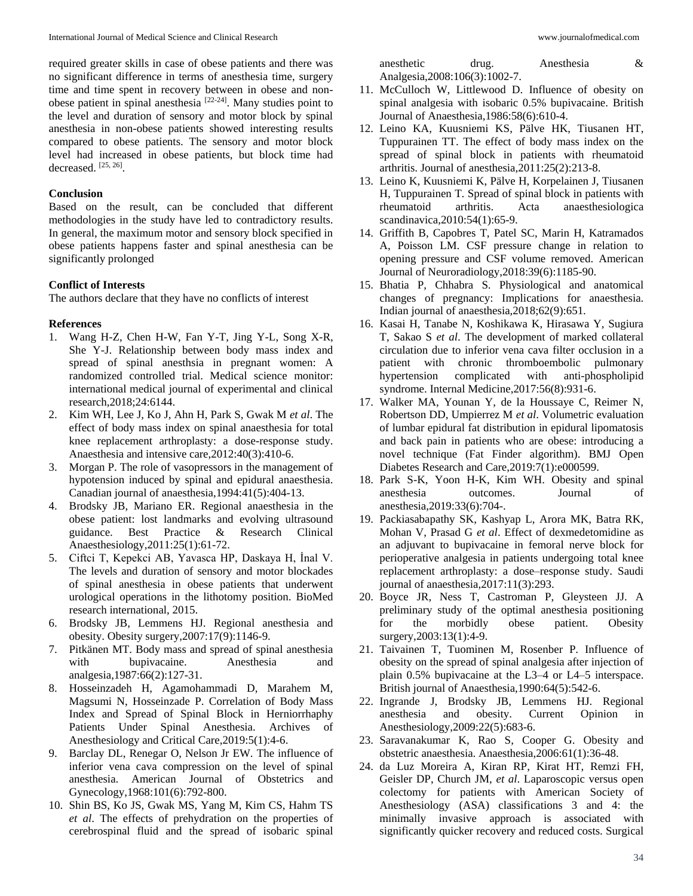required greater skills in case of obese patients and there was no significant difference in terms of anesthesia time, surgery time and time spent in recovery between in obese and nonobese patient in spinal anesthesia<sup>[22-24]</sup>. Many studies point to the level and duration of sensory and motor block by spinal anesthesia in non-obese patients showed interesting results compared to obese patients. The sensory and motor block level had increased in obese patients, but block time had decreased. [25, 26] .

#### **Conclusion**

Based on the result, can be concluded that different methodologies in the study have led to contradictory results. In general, the maximum motor and sensory block specified in obese patients happens faster and spinal anesthesia can be significantly prolonged

### **Conflict of Interests**

The authors declare that they have no conflicts of interest

### **References**

- 1. Wang H-Z, Chen H-W, Fan Y-T, Jing Y-L, Song X-R, She Y-J. Relationship between body mass index and spread of spinal anesthsia in pregnant women: A randomized controlled trial. Medical science monitor: international medical journal of experimental and clinical research,2018;24:6144.
- 2. Kim WH, Lee J, Ko J, Ahn H, Park S, Gwak M *et al*. The effect of body mass index on spinal anaesthesia for total knee replacement arthroplasty: a dose-response study. Anaesthesia and intensive care,2012:40(3):410-6.
- 3. Morgan P. The role of vasopressors in the management of hypotension induced by spinal and epidural anaesthesia. Canadian journal of anaesthesia,1994:41(5):404-13.
- 4. Brodsky JB, Mariano ER. Regional anaesthesia in the obese patient: lost landmarks and evolving ultrasound guidance. Best Practice & Research Clinical Anaesthesiology,2011:25(1):61-72.
- 5. Ciftci T, Kepekci AB, Yavasca HP, Daskaya H, İnal V. The levels and duration of sensory and motor blockades of spinal anesthesia in obese patients that underwent urological operations in the lithotomy position. BioMed research international, 2015.
- 6. Brodsky JB, Lemmens HJ. Regional anesthesia and obesity. Obesity surgery,2007:17(9):1146-9.
- 7. Pitkänen MT. Body mass and spread of spinal anesthesia with bupivacaine. Anesthesia and analgesia,1987:66(2):127-31.
- 8. Hosseinzadeh H, Agamohammadi D, Marahem M, Magsumi N, Hosseinzade P. Correlation of Body Mass Index and Spread of Spinal Block in Herniorrhaphy Patients Under Spinal Anesthesia. Archives of Anesthesiology and Critical Care,2019:5(1):4-6.
- 9. Barclay DL, Renegar O, Nelson Jr EW. The influence of inferior vena cava compression on the level of spinal anesthesia. American Journal of Obstetrics and Gynecology,1968:101(6):792-800.
- 10. Shin BS, Ko JS, Gwak MS, Yang M, Kim CS, Hahm TS *et al*. The effects of prehydration on the properties of cerebrospinal fluid and the spread of isobaric spinal

anesthetic drug. Anesthesia & Analgesia,2008:106(3):1002-7.

- 11. McCulloch W, Littlewood D. Influence of obesity on spinal analgesia with isobaric 0.5% bupivacaine. British Journal of Anaesthesia,1986:58(6):610-4.
- 12. Leino KA, Kuusniemi KS, Pälve HK, Tiusanen HT, Tuppurainen TT. The effect of body mass index on the spread of spinal block in patients with rheumatoid arthritis. Journal of anesthesia,2011:25(2):213-8.
- 13. Leino K, Kuusniemi K, Pälve H, Korpelainen J, Tiusanen H, Tuppurainen T. Spread of spinal block in patients with rheumatoid arthritis. Acta anaesthesiologica scandinavica,2010:54(1):65-9.
- 14. Griffith B, Capobres T, Patel SC, Marin H, Katramados A, Poisson LM. CSF pressure change in relation to opening pressure and CSF volume removed. American Journal of Neuroradiology,2018:39(6):1185-90.
- 15. Bhatia P, Chhabra S. Physiological and anatomical changes of pregnancy: Implications for anaesthesia. Indian journal of anaesthesia,2018;62(9):651.
- 16. Kasai H, Tanabe N, Koshikawa K, Hirasawa Y, Sugiura T, Sakao S *et al*. The development of marked collateral circulation due to inferior vena cava filter occlusion in a patient with chronic thromboembolic pulmonary hypertension complicated with anti-phospholipid syndrome. Internal Medicine,2017:56(8):931-6.
- 17. Walker MA, Younan Y, de la Houssaye C, Reimer N, Robertson DD, Umpierrez M *et al*. Volumetric evaluation of lumbar epidural fat distribution in epidural lipomatosis and back pain in patients who are obese: introducing a novel technique (Fat Finder algorithm). BMJ Open Diabetes Research and Care,2019:7(1):e000599.
- 18. Park S-K, Yoon H-K, Kim WH. Obesity and spinal anesthesia outcomes. Journal of anesthesia,2019:33(6):704-.
- 19. Packiasabapathy SK, Kashyap L, Arora MK, Batra RK, Mohan V, Prasad G *et al*. Effect of dexmedetomidine as an adjuvant to bupivacaine in femoral nerve block for perioperative analgesia in patients undergoing total knee replacement arthroplasty: a dose–response study. Saudi journal of anaesthesia,2017:11(3):293.
- 20. Boyce JR, Ness T, Castroman P, Gleysteen JJ. A preliminary study of the optimal anesthesia positioning for the morbidly obese patient. Obesity surgery, 2003:13(1): 4-9.
- 21. Taivainen T, Tuominen M, Rosenber P. Influence of obesity on the spread of spinal analgesia after injection of plain 0.5% bupivacaine at the L3–4 or L4–5 interspace. British journal of Anaesthesia,1990:64(5):542-6.
- 22. Ingrande J, Brodsky JB, Lemmens HJ. Regional anesthesia and obesity. Current Opinion in Anesthesiology,2009:22(5):683-6.
- 23. Saravanakumar K, Rao S, Cooper G. Obesity and obstetric anaesthesia. Anaesthesia,2006:61(1):36-48.
- 24. da Luz Moreira A, Kiran RP, Kirat HT, Remzi FH, Geisler DP, Church JM, *et al*. Laparoscopic versus open colectomy for patients with American Society of Anesthesiology (ASA) classifications 3 and 4: the minimally invasive approach is associated with significantly quicker recovery and reduced costs. Surgical